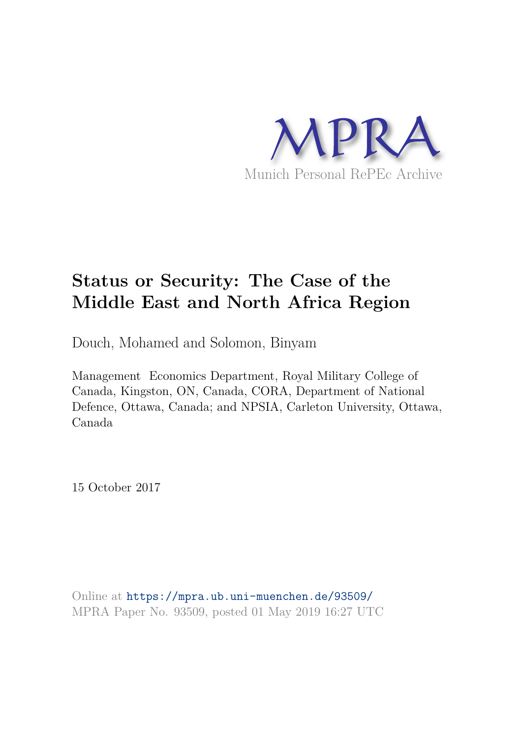

# **Status or Security: The Case of the Middle East and North Africa Region**

Douch, Mohamed and Solomon, Binyam

Management Economics Department, Royal Military College of Canada, Kingston, ON, Canada, CORA, Department of National Defence, Ottawa, Canada; and NPSIA, Carleton University, Ottawa, Canada

15 October 2017

Online at https://mpra.ub.uni-muenchen.de/93509/ MPRA Paper No. 93509, posted 01 May 2019 16:27 UTC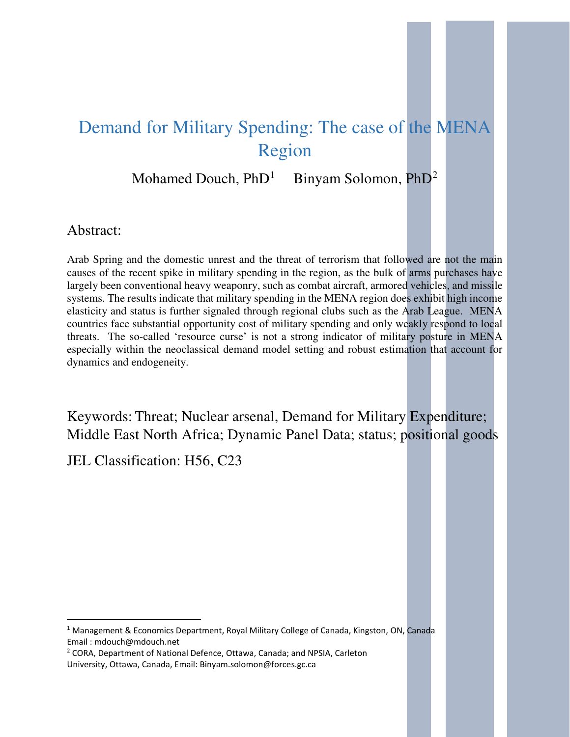# Demand for Military Spending: The case of the MENA Region

Mohamed Douch,  $PhD<sup>1</sup>$  $PhD<sup>1</sup>$  $PhD<sup>1</sup>$  Binyam Solomon,  $PhD<sup>2</sup>$  $PhD<sup>2</sup>$  $PhD<sup>2</sup>$ 

## Abstract:

 $\overline{a}$ 

Arab Spring and the domestic unrest and the threat of terrorism that followed are not the main causes of the recent spike in military spending in the region, as the bulk of arms purchases have largely been conventional heavy weaponry, such as combat aircraft, armored vehicles, and missile systems. The results indicate that military spending in the MENA region does exhibit high income elasticity and status is further signaled through regional clubs such as the Arab League. MENA countries face substantial opportunity cost of military spending and only weakly respond to local threats. The so-called 'resource curse' is not a strong indicator of military posture in MENA especially within the neoclassical demand model setting and robust estimation that account for dynamics and endogeneity.

Keywords: Threat; Nuclear arsenal, Demand for Military Expenditure; Middle East North Africa; Dynamic Panel Data; status; positional goods

JEL Classification: H56, C23

<span id="page-1-0"></span><sup>1</sup> Management & Economics Department, Royal Military College of Canada, Kingston, ON, Canada Email : mdouch@mdouch.net

<span id="page-1-1"></span><sup>2</sup> CORA, Department of National Defence, Ottawa, Canada; and NPSIA, Carleton University, Ottawa, Canada, Email: Binyam.solomon@forces.gc.ca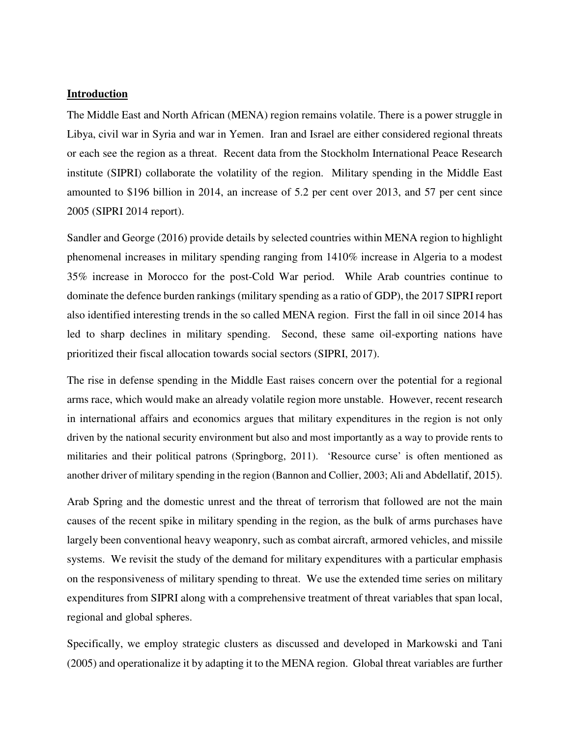### **Introduction**

The Middle East and North African (MENA) region remains volatile. There is a power struggle in Libya, civil war in Syria and war in Yemen. Iran and Israel are either considered regional threats or each see the region as a threat. Recent data from the Stockholm International Peace Research institute (SIPRI) collaborate the volatility of the region. Military spending in the Middle East amounted to \$196 billion in 2014, an increase of 5.2 per cent over 2013, and 57 per cent since 2005 (SIPRI 2014 report).

Sandler and George (2016) provide details by selected countries within MENA region to highlight phenomenal increases in military spending ranging from 1410% increase in Algeria to a modest 35% increase in Morocco for the post-Cold War period. While Arab countries continue to dominate the defence burden rankings (military spending as a ratio of GDP), the 2017 SIPRI report also identified interesting trends in the so called MENA region. First the fall in oil since 2014 has led to sharp declines in military spending. Second, these same oil-exporting nations have prioritized their fiscal allocation towards social sectors (SIPRI, 2017).

The rise in defense spending in the Middle East raises concern over the potential for a regional arms race, which would make an already volatile region more unstable. However, recent research in international affairs and economics argues that military expenditures in the region is not only driven by the national security environment but also and most importantly as a way to provide rents to militaries and their political patrons (Springborg, 2011). 'Resource curse' is often mentioned as another driver of military spending in the region (Bannon and Collier, 2003; Ali and Abdellatif, 2015).

Arab Spring and the domestic unrest and the threat of terrorism that followed are not the main causes of the recent spike in military spending in the region, as the bulk of arms purchases have largely been conventional heavy weaponry, such as combat aircraft, armored vehicles, and missile systems. We revisit the study of the demand for military expenditures with a particular emphasis on the responsiveness of military spending to threat. We use the extended time series on military expenditures from SIPRI along with a comprehensive treatment of threat variables that span local, regional and global spheres.

Specifically, we employ strategic clusters as discussed and developed in Markowski and Tani (2005) and operationalize it by adapting it to the MENA region. Global threat variables are further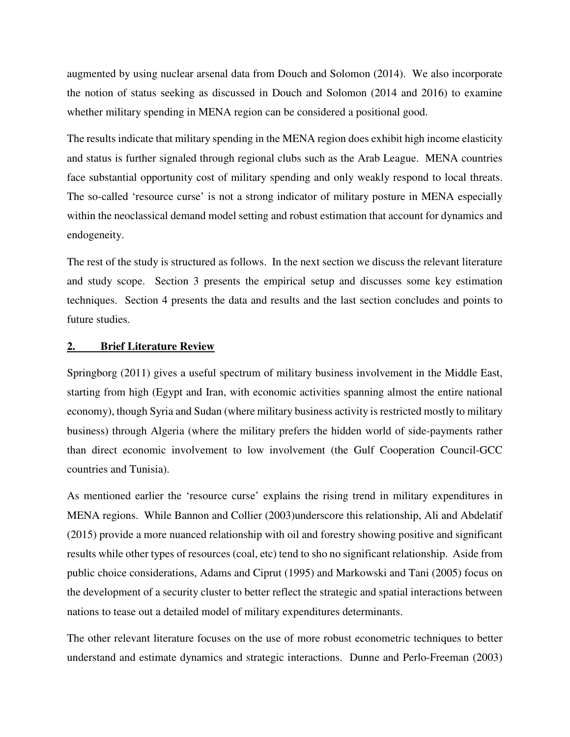augmented by using nuclear arsenal data from Douch and Solomon (2014). We also incorporate the notion of status seeking as discussed in Douch and Solomon (2014 and 2016) to examine whether military spending in MENA region can be considered a positional good.

The results indicate that military spending in the MENA region does exhibit high income elasticity and status is further signaled through regional clubs such as the Arab League. MENA countries face substantial opportunity cost of military spending and only weakly respond to local threats. The so-called 'resource curse' is not a strong indicator of military posture in MENA especially within the neoclassical demand model setting and robust estimation that account for dynamics and endogeneity.

The rest of the study is structured as follows. In the next section we discuss the relevant literature and study scope. Section 3 presents the empirical setup and discusses some key estimation techniques. Section 4 presents the data and results and the last section concludes and points to future studies.

#### **2. Brief Literature Review**

Springborg (2011) gives a useful spectrum of military business involvement in the Middle East, starting from high (Egypt and Iran, with economic activities spanning almost the entire national economy), though Syria and Sudan (where military business activity is restricted mostly to military business) through Algeria (where the military prefers the hidden world of side-payments rather than direct economic involvement to low involvement (the Gulf Cooperation Council-GCC countries and Tunisia).

As mentioned earlier the 'resource curse' explains the rising trend in military expenditures in MENA regions. While Bannon and Collier (2003)underscore this relationship, Ali and Abdelatif (2015) provide a more nuanced relationship with oil and forestry showing positive and significant results while other types of resources (coal, etc) tend to sho no significant relationship. Aside from public choice considerations, Adams and Ciprut (1995) and Markowski and Tani (2005) focus on the development of a security cluster to better reflect the strategic and spatial interactions between nations to tease out a detailed model of military expenditures determinants.

The other relevant literature focuses on the use of more robust econometric techniques to better understand and estimate dynamics and strategic interactions. Dunne and Perlo-Freeman (2003)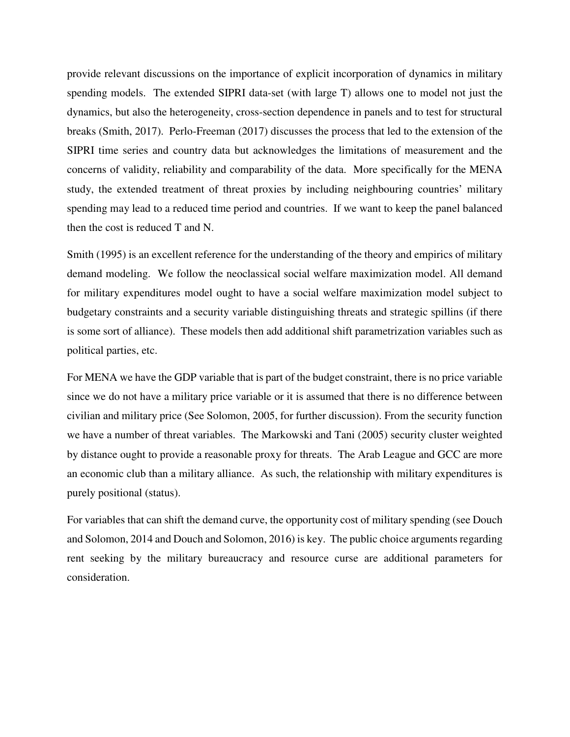provide relevant discussions on the importance of explicit incorporation of dynamics in military spending models. The extended SIPRI data-set (with large T) allows one to model not just the dynamics, but also the heterogeneity, cross-section dependence in panels and to test for structural breaks (Smith, 2017). Perlo-Freeman (2017) discusses the process that led to the extension of the SIPRI time series and country data but acknowledges the limitations of measurement and the concerns of validity, reliability and comparability of the data. More specifically for the MENA study, the extended treatment of threat proxies by including neighbouring countries' military spending may lead to a reduced time period and countries. If we want to keep the panel balanced then the cost is reduced T and N.

Smith (1995) is an excellent reference for the understanding of the theory and empirics of military demand modeling. We follow the neoclassical social welfare maximization model. All demand for military expenditures model ought to have a social welfare maximization model subject to budgetary constraints and a security variable distinguishing threats and strategic spillins (if there is some sort of alliance). These models then add additional shift parametrization variables such as political parties, etc.

For MENA we have the GDP variable that is part of the budget constraint, there is no price variable since we do not have a military price variable or it is assumed that there is no difference between civilian and military price (See Solomon, 2005, for further discussion). From the security function we have a number of threat variables. The Markowski and Tani (2005) security cluster weighted by distance ought to provide a reasonable proxy for threats. The Arab League and GCC are more an economic club than a military alliance. As such, the relationship with military expenditures is purely positional (status).

For variables that can shift the demand curve, the opportunity cost of military spending (see Douch and Solomon, 2014 and Douch and Solomon, 2016) is key. The public choice arguments regarding rent seeking by the military bureaucracy and resource curse are additional parameters for consideration.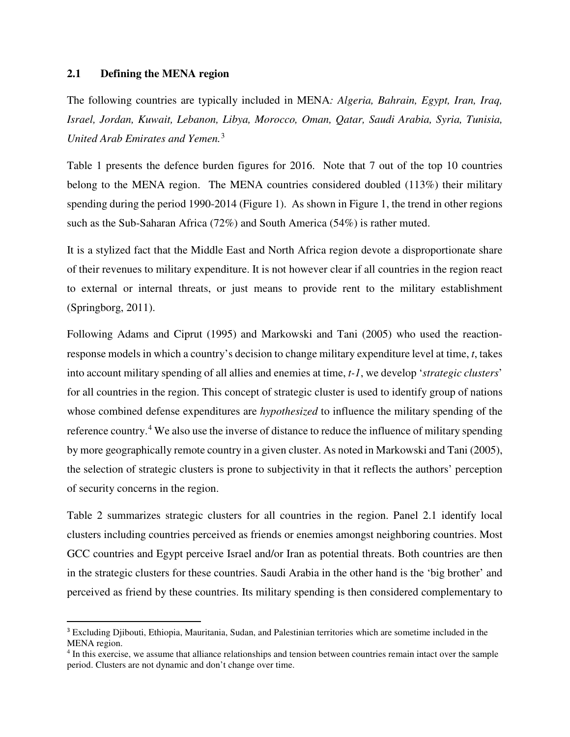### **2.1 Defining the MENA region**

<u>.</u>

The following countries are typically included in MENA*: Algeria, Bahrain, Egypt, Iran, Iraq, Israel, Jordan, Kuwait, Lebanon, Libya, Morocco, Oman, Qatar, Saudi Arabia, Syria, Tunisia, United Arab Emirates and Yemen.*[3](#page-5-0)

Table 1 presents the defence burden figures for 2016. Note that 7 out of the top 10 countries belong to the MENA region. The MENA countries considered doubled (113%) their military spending during the period 1990-2014 (Figure 1). As shown in Figure 1, the trend in other regions such as the Sub-Saharan Africa (72%) and South America (54%) is rather muted.

It is a stylized fact that the Middle East and North Africa region devote a disproportionate share of their revenues to military expenditure. It is not however clear if all countries in the region react to external or internal threats, or just means to provide rent to the military establishment (Springborg, 2011).

Following Adams and Ciprut (1995) and Markowski and Tani (2005) who used the reactionresponse models in which a country's decision to change military expenditure level at time, *t*, takes into account military spending of all allies and enemies at time, *t-1*, we develop '*strategic clusters*' for all countries in the region. This concept of strategic cluster is used to identify group of nations whose combined defense expenditures are *hypothesized* to influence the military spending of the reference country.<sup>[4](#page-5-1)</sup> We also use the inverse of distance to reduce the influence of military spending by more geographically remote country in a given cluster. As noted in Markowski and Tani (2005), the selection of strategic clusters is prone to subjectivity in that it reflects the authors' perception of security concerns in the region.

Table 2 summarizes strategic clusters for all countries in the region. Panel 2.1 identify local clusters including countries perceived as friends or enemies amongst neighboring countries. Most GCC countries and Egypt perceive Israel and/or Iran as potential threats. Both countries are then in the strategic clusters for these countries. Saudi Arabia in the other hand is the 'big brother' and perceived as friend by these countries. Its military spending is then considered complementary to

<span id="page-5-0"></span><sup>3</sup> Excluding Djibouti, Ethiopia, Mauritania, Sudan, and Palestinian territories which are sometime included in the MENA region.

<span id="page-5-1"></span><sup>&</sup>lt;sup>4</sup> In this exercise, we assume that alliance relationships and tension between countries remain intact over the sample period. Clusters are not dynamic and don't change over time.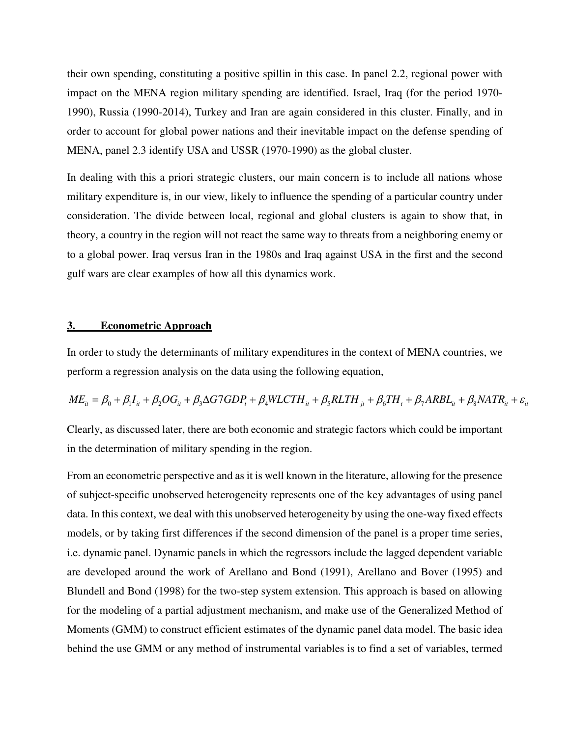their own spending, constituting a positive spillin in this case. In panel 2.2, regional power with impact on the MENA region military spending are identified. Israel, Iraq (for the period 1970- 1990), Russia (1990-2014), Turkey and Iran are again considered in this cluster. Finally, and in order to account for global power nations and their inevitable impact on the defense spending of MENA, panel 2.3 identify USA and USSR (1970-1990) as the global cluster.

In dealing with this a priori strategic clusters, our main concern is to include all nations whose military expenditure is, in our view, likely to influence the spending of a particular country under consideration. The divide between local, regional and global clusters is again to show that, in theory, a country in the region will not react the same way to threats from a neighboring enemy or to a global power. Iraq versus Iran in the 1980s and Iraq against USA in the first and the second gulf wars are clear examples of how all this dynamics work.

#### **3. Econometric Approach**

In order to study the determinants of military expenditures in the context of MENA countries, we perform a regression analysis on the data using the following equation,

 $ME_{it} = \beta_0 + \beta_1 I_{it} + \beta_2 OG_{it} + \beta_3 \Delta G7GDP_t + \beta_4 WLCTH_{it} + \beta_5 RLTH_{it} + \beta_6 TH_t + \beta_7 ARBL_{it} + \beta_8 NATR_{it} + \varepsilon_{it}$ 

Clearly, as discussed later, there are both economic and strategic factors which could be important in the determination of military spending in the region.

From an econometric perspective and as it is well known in the literature, allowing for the presence of subject-specific unobserved heterogeneity represents one of the key advantages of using panel data. In this context, we deal with this unobserved heterogeneity by using the one-way fixed effects models, or by taking first differences if the second dimension of the panel is a proper time series, i.e. dynamic panel. Dynamic panels in which the regressors include the lagged dependent variable are developed around the work of Arellano and Bond (1991), Arellano and Bover (1995) and Blundell and Bond (1998) for the two-step system extension. This approach is based on allowing for the modeling of a partial adjustment mechanism, and make use of the Generalized Method of Moments (GMM) to construct efficient estimates of the dynamic panel data model. The basic idea behind the use GMM or any method of instrumental variables is to find a set of variables, termed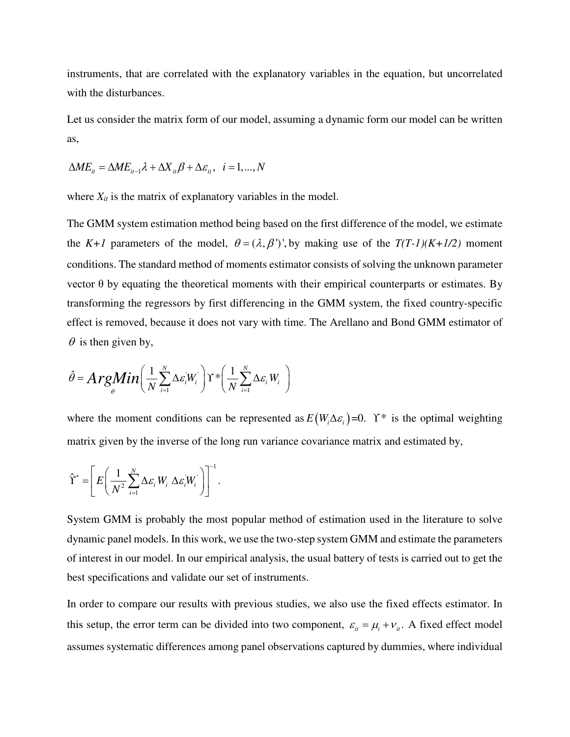instruments, that are correlated with the explanatory variables in the equation, but uncorrelated with the disturbances.

Let us consider the matrix form of our model, assuming a dynamic form our model can be written as,

$$
\Delta ME_{it} = \Delta ME_{it-1}\lambda + \Delta X_{it}\beta + \Delta \varepsilon_{it}, \quad i = 1, ..., N
$$

where  $X_{it}$  is the matrix of explanatory variables in the model.

The GMM system estimation method being based on the first difference of the model, we estimate the *K+1* parameters of the model,  $\theta = (\lambda, \beta')'$ , by making use of the  $T(T-1)(K+1/2)$  moment conditions. The standard method of moments estimator consists of solving the unknown parameter vector θ by equating the theoretical moments with their empirical counterparts or estimates. By transforming the regressors by first differencing in the GMM system, the fixed country-specific effect is removed, because it does not vary with time. The Arellano and Bond GMM estimator of  $\theta$  is then given by,

$$
\hat{\theta} = \mathbf{ArgMin}\bigg(\frac{1}{N}\sum_{i=1}^{N} \Delta \varepsilon_i W_i\bigg) \Upsilon^* \bigg(\frac{1}{N}\sum_{i=1}^{N} \Delta \varepsilon_i W_i\bigg)
$$

where the moment conditions can be represented as  $E(W_i \Delta \varepsilon_i) = 0$ . *Y*<sup>\*</sup> is the optimal weighting matrix given by the inverse of the long run variance covariance matrix and estimated by,

$$
\hat{\Upsilon}^* = \left[ E \left( \frac{1}{N^2} \sum_{i=1}^N \Delta \varepsilon_i W_i \, \Delta \varepsilon_i W_i \right) \right]^{-1}.
$$

System GMM is probably the most popular method of estimation used in the literature to solve dynamic panel models. In this work, we use the two-step system GMM and estimate the parameters of interest in our model. In our empirical analysis, the usual battery of tests is carried out to get the best specifications and validate our set of instruments.

In order to compare our results with previous studies, we also use the fixed effects estimator. In this setup, the error term can be divided into two component,  $\varepsilon_{it} = \mu_i + v_{it}$ . A fixed effect model assumes systematic differences among panel observations captured by dummies, where individual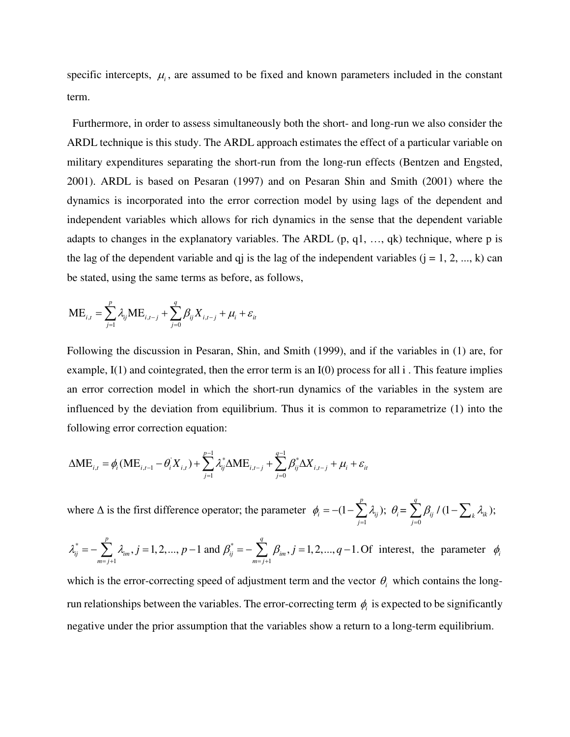specific intercepts,  $\mu_i$ , are assumed to be fixed and known parameters included in the constant term.

 Furthermore, in order to assess simultaneously both the short- and long-run we also consider the ARDL technique is this study. The ARDL approach estimates the effect of a particular variable on military expenditures separating the short-run from the long-run effects (Bentzen and Engsted, 2001). ARDL is based on Pesaran (1997) and on Pesaran Shin and Smith (2001) where the dynamics is incorporated into the error correction model by using lags of the dependent and independent variables which allows for rich dynamics in the sense that the dependent variable adapts to changes in the explanatory variables. The ARDL  $(p, q1, ..., qk)$  technique, where p is the lag of the dependent variable and q iis the lag of the independent variables  $(j = 1, 2, ..., k)$  can be stated, using the same terms as before, as follows,

$$
\text{ME}_{i,t} = \sum_{j=1}^{p} \lambda_{ij} \text{ME}_{i,t-j} + \sum_{j=0}^{q} \beta_{ij} X_{i,t-j} + \mu_{i} + \varepsilon_{it}
$$

Following the discussion in Pesaran, Shin, and Smith (1999), and if the variables in (1) are, for example,  $I(1)$  and cointegrated, then the error term is an  $I(0)$  process for all i. This feature implies an error correction model in which the short-run dynamics of the variables in the system are influenced by the deviation from equilibrium. Thus it is common to reparametrize (1) into the following error correction equation:

$$
\Delta \mathbf{M} \mathbf{E}_{i,t} = \phi_i (\mathbf{M} \mathbf{E}_{i,t-1} - \theta_i^{\mathsf{T}} X_{i,t}) + \sum_{j=1}^{p-1} \lambda_{ij}^* \Delta \mathbf{M} \mathbf{E}_{i,t-j} + \sum_{j=0}^{q-1} \beta_{ij}^* \Delta X_{i,t-j} + \mu_i + \varepsilon_{ii}
$$

where  $\Delta$  is the first difference operator; the parameter  $-1$   $j=0$  $(1-\sum_i \lambda_{ii}); \theta_i = \sum_i \beta_{ii} / (1-\sum_i \lambda_{ik});$ *p q*  $V_i = (1 - \sum_{j=1}^{N_{ij}} V_{ij}), \ \ U_i = \sum_{j=0}^{N_{ij}} P_{ij} \cdot (1 - \sum_{k} N_{ik})$  $\phi_i = -(1-\sum_i \lambda_{ii}); \; \theta_i = \sum_i \beta_{ii} / (1-\sum_i \lambda_{ii})$  $= -(1 - \sum_{j=1}^{ } \lambda_{ij}); \ \theta_i = \sum_{j=0}^{ } \beta_{ij} / (1 - \sum_{j=1}^{ } \beta_{ij})$ 

$$
\lambda_{ij}^* = -\sum_{m=j+1}^p \lambda_{im}, j = 1, 2, ..., p-1 \text{ and } \beta_{ij}^* = -\sum_{m=j+1}^q \beta_{im}, j = 1, 2, ..., q-1. \text{ Of interest, the parameter } \phi_i
$$

which is the error-correcting speed of adjustment term and the vector  $\theta$ <sub>i</sub> which contains the longrun relationships between the variables. The error-correcting term  $\phi_i$  is expected to be significantly negative under the prior assumption that the variables show a return to a long-term equilibrium.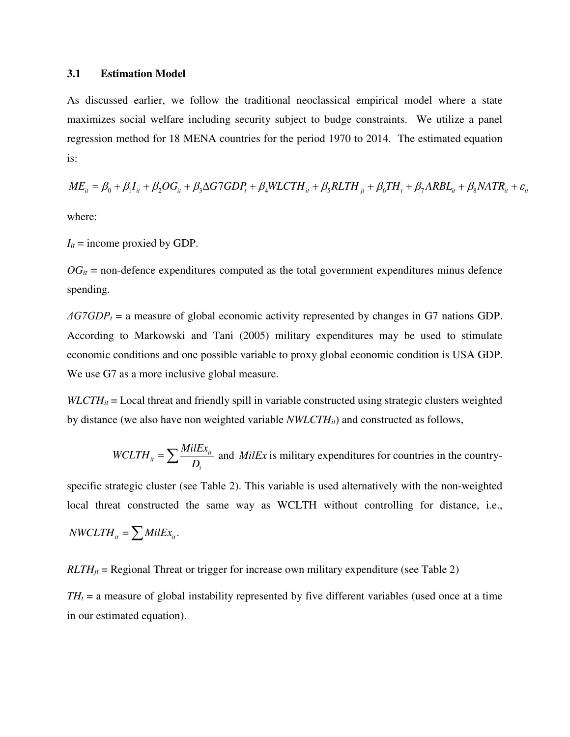#### **3.1 Estimation Model**

As discussed earlier, we follow the traditional neoclassical empirical model where a state maximizes social welfare including security subject to budge constraints. We utilize a panel regression method for 18 MENA countries for the period 1970 to 2014. The estimated equation is:

$$
ME_{it} = \beta_0 + \beta_1 I_{it} + \beta_2 OG_{it} + \beta_3 \Delta G7GDP_t + \beta_4 WLCTH_{it} + \beta_5 RLTH_{jt} + \beta_6 TH_t + \beta_7 ARBL_{it} + \beta_8 NATR_{it} + \varepsilon_{it}
$$

where:

 $I_{it}$  = income proxied by GDP.

 $OG_{it}$  = non-defence expenditures computed as the total government expenditures minus defence spending.

*ΔG7GDP<sup>t</sup>* = a measure of global economic activity represented by changes in G7 nations GDP. According to Markowski and Tani (2005) military expenditures may be used to stimulate economic conditions and one possible variable to proxy global economic condition is USA GDP. We use G7 as a more inclusive global measure.

*WLCTH<sub>it</sub>* = Local threat and friendly spill in variable constructed using strategic clusters weighted by distance (we also have non weighted variable *NWLCTHit*) and constructed as follows,

*WCLTH<sub>it</sub>* = 
$$
\sum \frac{MilEx_{it}}{D_i}
$$
 and *MilEx* is military expenditures for countries in the country-

specific strategic cluster (see Table 2). This variable is used alternatively with the non-weighted local threat constructed the same way as WCLTH without controlling for distance, i.e.,

$$
NWCLTH_{it} = \sum MilEx_{it}.
$$

 $RLTH_{it}$  = Regional Threat or trigger for increase own military expenditure (see Table 2)

 $TH<sub>t</sub> = a$  measure of global instability represented by five different variables (used once at a time in our estimated equation).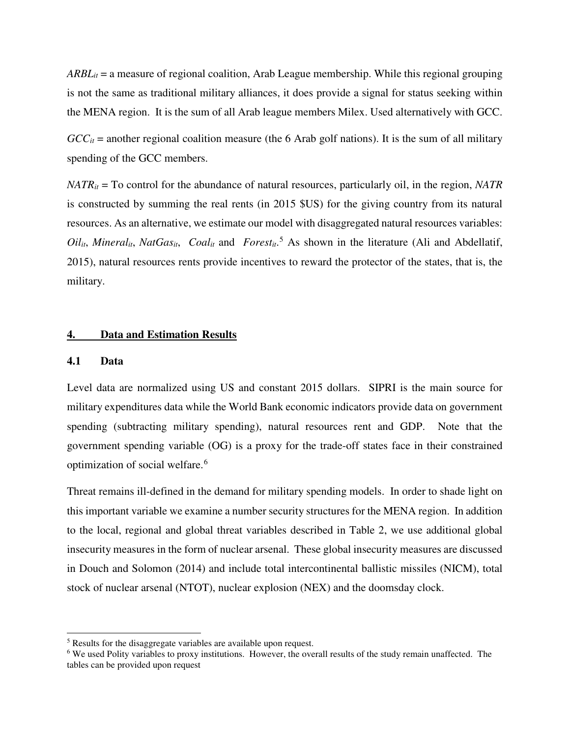*ARBLit* = a measure of regional coalition, Arab League membership. While this regional grouping is not the same as traditional military alliances, it does provide a signal for status seeking within the MENA region. It is the sum of all Arab league members Milex. Used alternatively with GCC.

 $GCC<sub>it</sub>$  = another regional coalition measure (the 6 Arab golf nations). It is the sum of all military spending of the GCC members.

*NATRit* = To control for the abundance of natural resources, particularly oil, in the region, *NATR* is constructed by summing the real rents (in 2015 \$US) for the giving country from its natural resources. As an alternative, we estimate our model with disaggregated natural resources variables:  $Oil_{it}$ , *Mineral<sub>it</sub>*, *NatGas<sub>it</sub>*, *Coal<sub>it</sub>* and *Forest<sub>it</sub>*.<sup>[5](#page-10-0)</sup> As shown in the literature (Ali and Abdellatif, 2015), natural resources rents provide incentives to reward the protector of the states, that is, the military.

#### **4. Data and Estimation Results**

#### **4.1 Data**

l

Level data are normalized using US and constant 2015 dollars. SIPRI is the main source for military expenditures data while the World Bank economic indicators provide data on government spending (subtracting military spending), natural resources rent and GDP. Note that the government spending variable (OG) is a proxy for the trade-off states face in their constrained optimization of social welfare.<sup>[6](#page-10-1)</sup>

Threat remains ill-defined in the demand for military spending models. In order to shade light on this important variable we examine a number security structures for the MENA region. In addition to the local, regional and global threat variables described in Table 2, we use additional global insecurity measures in the form of nuclear arsenal. These global insecurity measures are discussed in Douch and Solomon (2014) and include total intercontinental ballistic missiles (NICM), total stock of nuclear arsenal (NTOT), nuclear explosion (NEX) and the doomsday clock.

<span id="page-10-0"></span><sup>5</sup> Results for the disaggregate variables are available upon request.

<span id="page-10-1"></span><sup>6</sup> We used Polity variables to proxy institutions. However, the overall results of the study remain unaffected. The tables can be provided upon request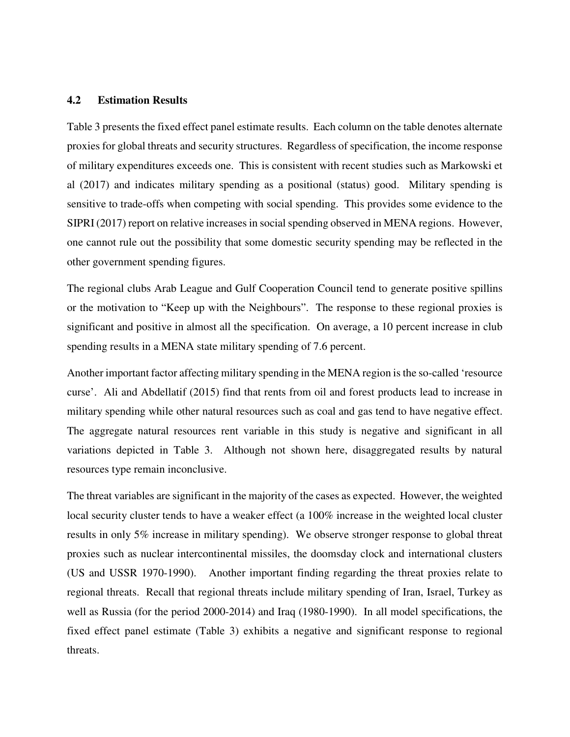#### **4.2 Estimation Results**

Table 3 presents the fixed effect panel estimate results. Each column on the table denotes alternate proxies for global threats and security structures. Regardless of specification, the income response of military expenditures exceeds one. This is consistent with recent studies such as Markowski et al (2017) and indicates military spending as a positional (status) good. Military spending is sensitive to trade-offs when competing with social spending. This provides some evidence to the SIPRI (2017) report on relative increases in social spending observed in MENA regions. However, one cannot rule out the possibility that some domestic security spending may be reflected in the other government spending figures.

The regional clubs Arab League and Gulf Cooperation Council tend to generate positive spillins or the motivation to "Keep up with the Neighbours". The response to these regional proxies is significant and positive in almost all the specification. On average, a 10 percent increase in club spending results in a MENA state military spending of 7.6 percent.

Another important factor affecting military spending in the MENA region is the so-called 'resource curse'. Ali and Abdellatif (2015) find that rents from oil and forest products lead to increase in military spending while other natural resources such as coal and gas tend to have negative effect. The aggregate natural resources rent variable in this study is negative and significant in all variations depicted in Table 3. Although not shown here, disaggregated results by natural resources type remain inconclusive.

The threat variables are significant in the majority of the cases as expected. However, the weighted local security cluster tends to have a weaker effect (a 100% increase in the weighted local cluster results in only 5% increase in military spending). We observe stronger response to global threat proxies such as nuclear intercontinental missiles, the doomsday clock and international clusters (US and USSR 1970-1990). Another important finding regarding the threat proxies relate to regional threats. Recall that regional threats include military spending of Iran, Israel, Turkey as well as Russia (for the period 2000-2014) and Iraq (1980-1990). In all model specifications, the fixed effect panel estimate (Table 3) exhibits a negative and significant response to regional threats.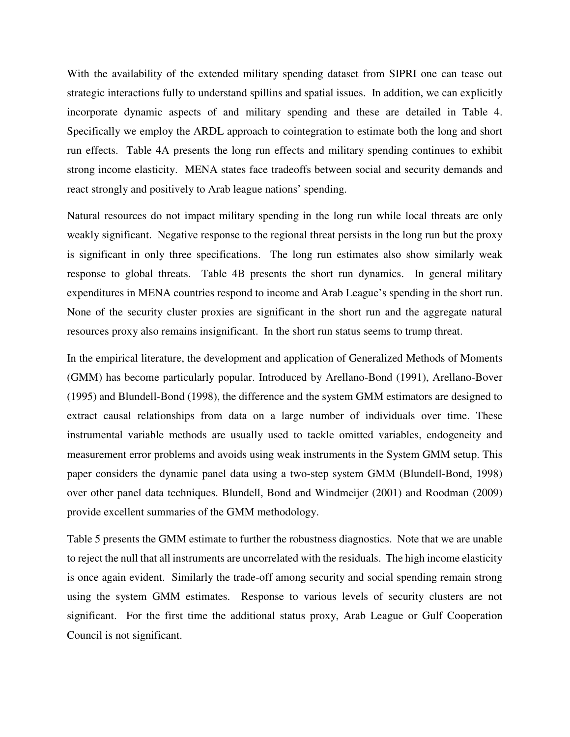With the availability of the extended military spending dataset from SIPRI one can tease out strategic interactions fully to understand spillins and spatial issues. In addition, we can explicitly incorporate dynamic aspects of and military spending and these are detailed in Table 4. Specifically we employ the ARDL approach to cointegration to estimate both the long and short run effects. Table 4A presents the long run effects and military spending continues to exhibit strong income elasticity. MENA states face tradeoffs between social and security demands and react strongly and positively to Arab league nations' spending.

Natural resources do not impact military spending in the long run while local threats are only weakly significant. Negative response to the regional threat persists in the long run but the proxy is significant in only three specifications. The long run estimates also show similarly weak response to global threats. Table 4B presents the short run dynamics. In general military expenditures in MENA countries respond to income and Arab League's spending in the short run. None of the security cluster proxies are significant in the short run and the aggregate natural resources proxy also remains insignificant. In the short run status seems to trump threat.

In the empirical literature, the development and application of Generalized Methods of Moments (GMM) has become particularly popular. Introduced by Arellano-Bond (1991), Arellano-Bover (1995) and Blundell-Bond (1998), the difference and the system GMM estimators are designed to extract causal relationships from data on a large number of individuals over time. These instrumental variable methods are usually used to tackle omitted variables, endogeneity and measurement error problems and avoids using weak instruments in the System GMM setup. This paper considers the dynamic panel data using a two-step system GMM (Blundell-Bond, 1998) over other panel data techniques. Blundell, Bond and Windmeijer (2001) and Roodman (2009) provide excellent summaries of the GMM methodology.

Table 5 presents the GMM estimate to further the robustness diagnostics. Note that we are unable to reject the null that all instruments are uncorrelated with the residuals. The high income elasticity is once again evident. Similarly the trade-off among security and social spending remain strong using the system GMM estimates. Response to various levels of security clusters are not significant. For the first time the additional status proxy, Arab League or Gulf Cooperation Council is not significant.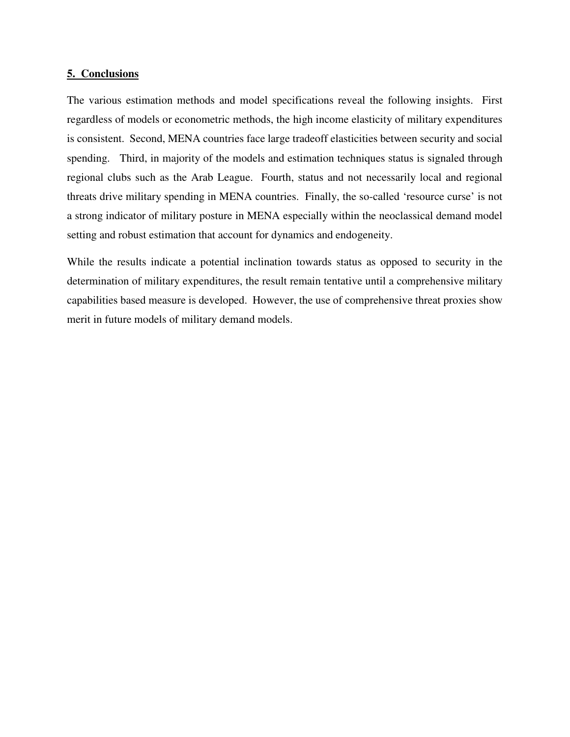#### **5. Conclusions**

The various estimation methods and model specifications reveal the following insights. First regardless of models or econometric methods, the high income elasticity of military expenditures is consistent. Second, MENA countries face large tradeoff elasticities between security and social spending. Third, in majority of the models and estimation techniques status is signaled through regional clubs such as the Arab League. Fourth, status and not necessarily local and regional threats drive military spending in MENA countries. Finally, the so-called 'resource curse' is not a strong indicator of military posture in MENA especially within the neoclassical demand model setting and robust estimation that account for dynamics and endogeneity.

While the results indicate a potential inclination towards status as opposed to security in the determination of military expenditures, the result remain tentative until a comprehensive military capabilities based measure is developed. However, the use of comprehensive threat proxies show merit in future models of military demand models.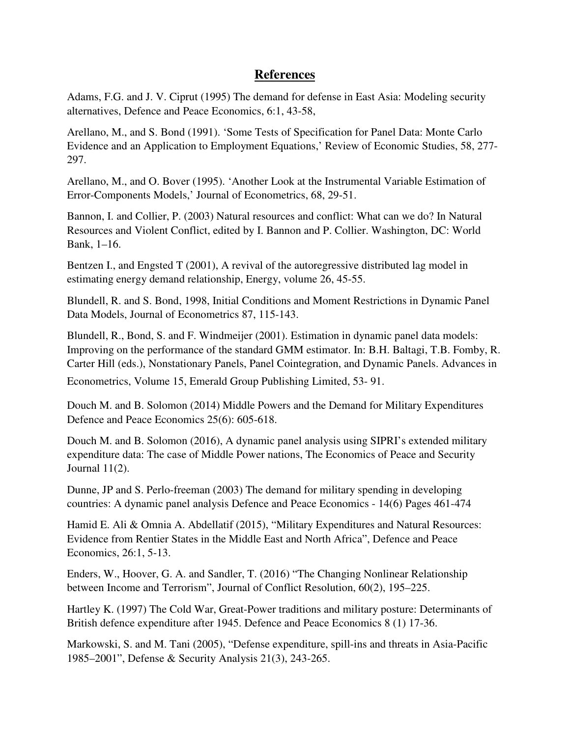## **References**

Adams, F.G. and J. V. Ciprut (1995) The demand for defense in East Asia: Modeling security alternatives, Defence and Peace Economics, 6:1, 43-58,

Arellano, M., and S. Bond (1991). 'Some Tests of Specification for Panel Data: Monte Carlo Evidence and an Application to Employment Equations,' Review of Economic Studies, 58, 277- 297.

Arellano, M., and O. Bover (1995). 'Another Look at the Instrumental Variable Estimation of Error-Components Models,' Journal of Econometrics, 68, 29-51.

Bannon, I. and Collier, P. (2003) Natural resources and conflict: What can we do? In Natural Resources and Violent Conflict, edited by I. Bannon and P. Collier. Washington, DC: World Bank, 1–16.

Bentzen I., and Engsted T (2001), A revival of the autoregressive distributed lag model in estimating energy demand relationship, Energy, volume 26, 45-55.

Blundell, R. and S. Bond, 1998, Initial Conditions and Moment Restrictions in Dynamic Panel Data Models, Journal of Econometrics 87, 115-143.

Blundell, R., Bond, S. and F. Windmeijer (2001). Estimation in dynamic panel data models: Improving on the performance of the standard GMM estimator. In: B.H. Baltagi, T.B. Fomby, R. Carter Hill (eds.), Nonstationary Panels, Panel Cointegration, and Dynamic Panels. Advances in

Econometrics, Volume 15, Emerald Group Publishing Limited, 53- 91.

Douch M. and B. Solomon (2014) Middle Powers and the Demand for Military Expenditures Defence and Peace Economics 25(6): 605-618.

Douch M. and B. Solomon (2016), A dynamic panel analysis using SIPRI's extended military expenditure data: The case of Middle Power nations, The Economics of Peace and Security Journal 11(2).

Dunne, JP and S. Perlo-freeman (2003) The demand for military spending in developing countries: A dynamic panel analysis Defence and Peace Economics - 14(6) Pages 461-474

Hamid E. Ali & Omnia A. Abdellatif (2015), "Military Expenditures and Natural Resources: Evidence from Rentier States in the Middle East and North Africa", Defence and Peace Economics, 26:1, 5-13.

Enders, W., Hoover, G. A. and Sandler, T. (2016) "The Changing Nonlinear Relationship between Income and Terrorism", Journal of Conflict Resolution, 60(2), 195–225.

Hartley K. (1997) The Cold War, Great-Power traditions and military posture: Determinants of British defence expenditure after 1945. Defence and Peace Economics 8 (1) 17-36.

Markowski, S. and M. Tani (2005), "Defense expenditure, spill-ins and threats in Asia-Pacific 1985–2001", Defense & Security Analysis 21(3), 243-265.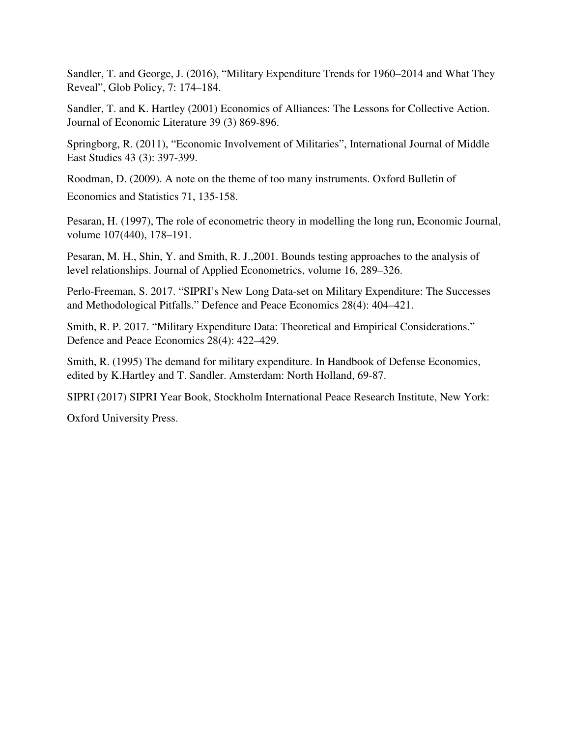Sandler, T. and George, J. (2016), "Military Expenditure Trends for 1960–2014 and What They Reveal", Glob Policy, 7: 174–184.

Sandler, T. and K. Hartley (2001) Economics of Alliances: The Lessons for Collective Action. Journal of Economic Literature 39 (3) 869-896.

Springborg, R. (2011), "Economic Involvement of Militaries", International Journal of Middle East Studies 43 (3): 397-399.

Roodman, D. (2009). A note on the theme of too many instruments. Oxford Bulletin of Economics and Statistics 71, 135-158.

Pesaran, H. (1997), The role of econometric theory in modelling the long run, Economic Journal, volume 107(440), 178–191.

Pesaran, M. H., Shin, Y. and Smith, R. J.,2001. Bounds testing approaches to the analysis of level relationships. Journal of Applied Econometrics, volume 16, 289–326.

Perlo-Freeman, S. 2017. "SIPRI's New Long Data-set on Military Expenditure: The Successes and Methodological Pitfalls." Defence and Peace Economics 28(4): 404–421.

Smith, R. P. 2017. "Military Expenditure Data: Theoretical and Empirical Considerations." Defence and Peace Economics 28(4): 422–429.

Smith, R. (1995) The demand for military expenditure. In Handbook of Defense Economics, edited by K.Hartley and T. Sandler. Amsterdam: North Holland, 69-87.

SIPRI (2017) SIPRI Year Book, Stockholm International Peace Research Institute, New York:

Oxford University Press.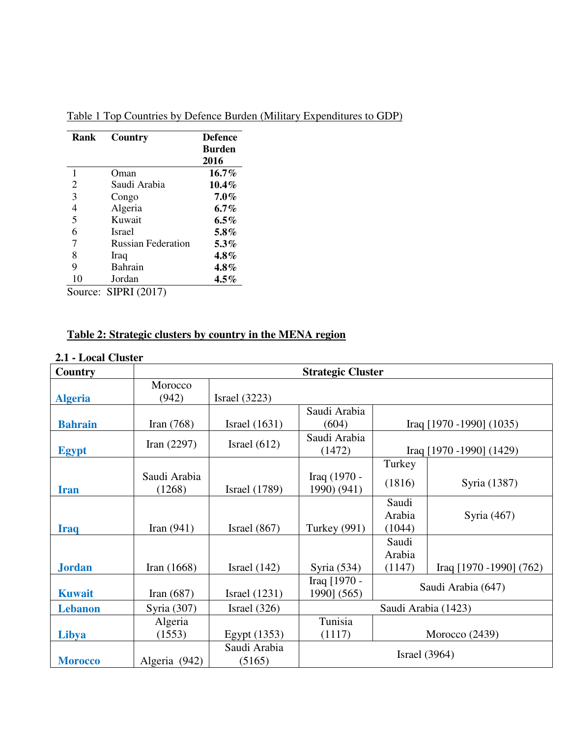| Rank           | Country                   | <b>Defence</b><br><b>Burden</b><br>2016 |
|----------------|---------------------------|-----------------------------------------|
| 1              | Oman)                     | $16.7\%$                                |
| $\overline{2}$ | Saudi Arabia              | $10.4\%$                                |
| 3              | Congo                     | $7.0\%$                                 |
| 4              | Algeria                   | $6.7\%$                                 |
| 5              | Kuwait                    | $6.5\%$                                 |
| 6              | <b>Israel</b>             | $5.8\%$                                 |
| 7              | <b>Russian Federation</b> | $5.3\%$                                 |
| 8              | Iraq                      | $4.8\%$                                 |
| 9              | Bahrain                   | 4.8%                                    |
| 10             | Jordan                    | $4.5\%$                                 |
| Source:        | <b>SIPRI</b> (2017)       |                                         |

Table 1 Top Countries by Defence Burden (Military Expenditures to GDP)

# **Table 2: Strategic clusters by country in the MENA region**

## **2.1 - Local Cluster**

| Country        | <b>Strategic Cluster</b> |                        |                             |                           |                             |  |  |  |  |
|----------------|--------------------------|------------------------|-----------------------------|---------------------------|-----------------------------|--|--|--|--|
| <b>Algeria</b> | Morocco<br>(942)         | Israel $(3223)$        |                             |                           |                             |  |  |  |  |
| <b>Bahrain</b> | Iran $(768)$             | Israel $(1631)$        | Saudi Arabia<br>(604)       |                           | Iraq $[1970 - 1990] (1035)$ |  |  |  |  |
| <b>Egypt</b>   | Iran $(2297)$            | Israel $(612)$         | Saudi Arabia<br>(1472)      |                           | Iraq $[1970 - 1990] (1429)$ |  |  |  |  |
|                |                          |                        |                             | Turkey                    |                             |  |  |  |  |
| <b>Iran</b>    | Saudi Arabia<br>(1268)   | <b>Israel</b> (1789)   | Iraq (1970 -<br>1990) (941) | (1816)                    | Syria (1387)                |  |  |  |  |
| <b>Iraq</b>    | Iran $(941)$             | Israel $(867)$         | <b>Turkey</b> (991)         | Saudi<br>Arabia<br>(1044) | Syria $(467)$               |  |  |  |  |
| <b>Jordan</b>  | Iran $(1668)$            | Israel $(142)$         | Syria (534)                 | Saudi<br>Arabia<br>(1147) | Iraq [1970 -1990] (762)     |  |  |  |  |
| <b>Kuwait</b>  | Iran $(687)$             | Israel $(1231)$        | Iraq [1970 -<br>1990] (565) | Saudi Arabia (647)        |                             |  |  |  |  |
| <b>Lebanon</b> | Syria (307)              | Israel $(326)$         | Saudi Arabia (1423)         |                           |                             |  |  |  |  |
| Libya          | Algeria<br>(1553)        | Egypt (1353)           | Tunisia<br>(1117)           |                           | Morocco (2439)              |  |  |  |  |
| <b>Morocco</b> | Algeria (942)            | Saudi Arabia<br>(5165) | <b>Israel</b> (3964)        |                           |                             |  |  |  |  |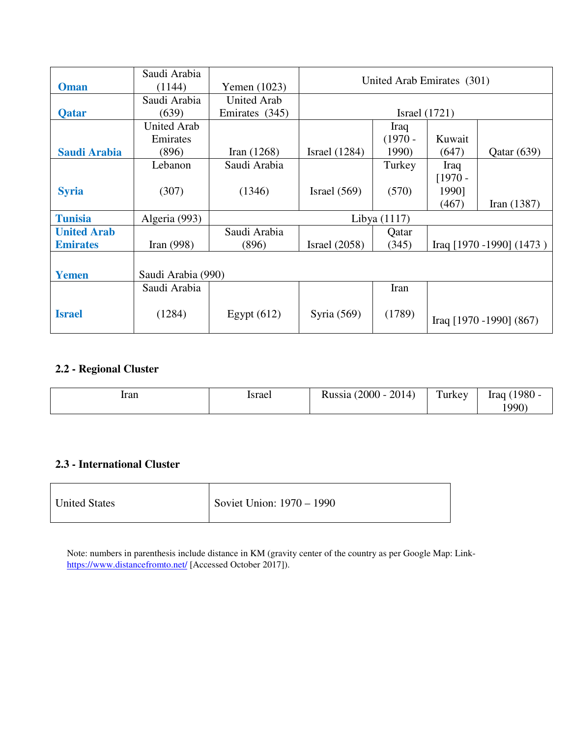|                    | Saudi Arabia       |                    | United Arab Emirates (301) |           |                 |                             |  |
|--------------------|--------------------|--------------------|----------------------------|-----------|-----------------|-----------------------------|--|
| <b>Oman</b>        | (1144)             | Yemen (1023)       |                            |           |                 |                             |  |
|                    | Saudi Arabia       | <b>United Arab</b> |                            |           |                 |                             |  |
| <b>Qatar</b>       | (639)              | Emirates (345)     |                            |           | Israel $(1721)$ |                             |  |
|                    | <b>United Arab</b> |                    |                            | Iraq      |                 |                             |  |
|                    | Emirates           |                    |                            | $(1970 -$ | Kuwait          |                             |  |
| Saudi Arabia       | (896)              | Iran $(1268)$      | Israel $(1284)$            | 1990)     | (647)           | Qatar(639)                  |  |
|                    | Lebanon            | Saudi Arabia       |                            | Turkey    | Iraq            |                             |  |
|                    |                    |                    |                            |           | $[1970 -$       |                             |  |
| <b>Syria</b>       | (307)              | (1346)             | Israel $(569)$             | (570)     | 1990]           |                             |  |
|                    |                    |                    |                            |           | (467)           | Iran $(1387)$               |  |
| <b>Tunisia</b>     | Algeria (993)      |                    | Libya $(1117)$             |           |                 |                             |  |
| <b>United Arab</b> |                    | Saudi Arabia       |                            | Qatar     |                 |                             |  |
| <b>Emirates</b>    | Iran $(998)$       | (896)              | Israel $(2058)$            | (345)     |                 | Iraq $[1970 - 1990]$ (1473) |  |
|                    |                    |                    |                            |           |                 |                             |  |
| <b>Yemen</b>       | Saudi Arabia (990) |                    |                            |           |                 |                             |  |
|                    | Saudi Arabia       |                    |                            | Iran      |                 |                             |  |
| <b>Israel</b>      | (1284)             | Egypt $(612)$      | Syria (569)                | (1789)    |                 | Iraq [1970 -1990] (867)     |  |

## **2.2 - Regional Cluster**

| Iran | srae<br>. | 2014)<br>$2000 -$<br>T.<br>$P$ 110010 | $\mathbf{r}$<br>Turkey | $1980 -$<br>Irac<br>$990^{\circ}$ |
|------|-----------|---------------------------------------|------------------------|-----------------------------------|
|------|-----------|---------------------------------------|------------------------|-----------------------------------|

## **2.3 - International Cluster**

| <b>United States</b> | Soviet Union: 1970 – 1990 |
|----------------------|---------------------------|
|----------------------|---------------------------|

Note: numbers in parenthesis include distance in KM (gravity center of the country as per Google Map: Linkhttps://www.distancefromto.net/ [Accessed October 2017]).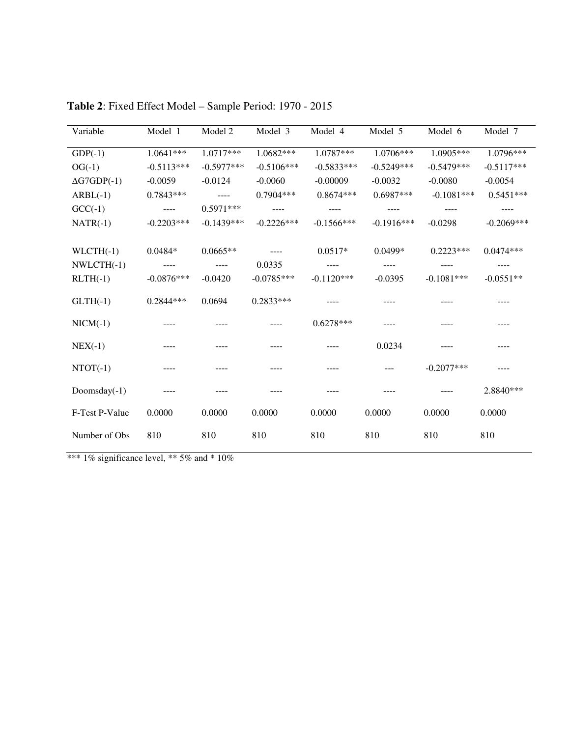| Variable           | Model 1       | Model 2                                                                                                                                                                                                                                                                                                                                                                                      | Model 3      | Model 4      | Model 5      | Model 6      | Model 7      |
|--------------------|---------------|----------------------------------------------------------------------------------------------------------------------------------------------------------------------------------------------------------------------------------------------------------------------------------------------------------------------------------------------------------------------------------------------|--------------|--------------|--------------|--------------|--------------|
| $GDP(-1)$          | 1.0641***     | 1.0717***                                                                                                                                                                                                                                                                                                                                                                                    | 1.0682***    | 1.0787***    | 1.0706***    | $1.0905***$  | 1.0796***    |
| $OG(-1)$           | $-0.5113***$  | $-0.5977***$                                                                                                                                                                                                                                                                                                                                                                                 | $-0.5106***$ | $-0.5833***$ | $-0.5249***$ | $-0.5479***$ | $-0.5117***$ |
| $\Delta$ G7GDP(-1) | $-0.0059$     | $-0.0124$                                                                                                                                                                                                                                                                                                                                                                                    | $-0.0060$    | $-0.00009$   | $-0.0032$    | $-0.0080$    | $-0.0054$    |
| $ARBL(-1)$         | $0.7843***$   | $\frac{1}{2} \frac{1}{2} \frac{1}{2} \frac{1}{2} \frac{1}{2} \frac{1}{2} \frac{1}{2} \frac{1}{2} \frac{1}{2} \frac{1}{2} \frac{1}{2} \frac{1}{2} \frac{1}{2} \frac{1}{2} \frac{1}{2} \frac{1}{2} \frac{1}{2} \frac{1}{2} \frac{1}{2} \frac{1}{2} \frac{1}{2} \frac{1}{2} \frac{1}{2} \frac{1}{2} \frac{1}{2} \frac{1}{2} \frac{1}{2} \frac{1}{2} \frac{1}{2} \frac{1}{2} \frac{1}{2} \frac{$ | 0.7904 ***   | $0.8674***$  | $0.6987***$  | $-0.1081***$ | $0.5451***$  |
| $GCC(-1)$          | $\frac{1}{2}$ | $0.5971***$                                                                                                                                                                                                                                                                                                                                                                                  | $\cdots$     | ----         | ----         |              |              |
| $NATR(-1)$         | $-0.2203***$  | $-0.1439***$                                                                                                                                                                                                                                                                                                                                                                                 | $-0.2226***$ | $-0.1566***$ | $-0.1916***$ | $-0.0298$    | $-0.2069***$ |
|                    |               |                                                                                                                                                                                                                                                                                                                                                                                              |              |              |              |              |              |
| $WLCTH(-1)$        | $0.0484*$     | $0.0665**$                                                                                                                                                                                                                                                                                                                                                                                   | $---$        | $0.0517*$    | $0.0499*$    | $0.2223***$  | $0.0474***$  |
| $NWLCTH(-1)$       | $---$         | $---$                                                                                                                                                                                                                                                                                                                                                                                        | 0.0335       |              |              |              |              |
| $RLTH(-1)$         | $-0.0876***$  | $-0.0420$                                                                                                                                                                                                                                                                                                                                                                                    | $-0.0785***$ | $-0.1120***$ | $-0.0395$    | $-0.1081***$ | $-0.0551**$  |
| $GLTH(-1)$         | $0.2844***$   | 0.0694                                                                                                                                                                                                                                                                                                                                                                                       | $0.2833***$  |              |              |              |              |
| $NICM(-1)$         |               |                                                                                                                                                                                                                                                                                                                                                                                              |              | $0.6278***$  |              |              |              |
| $NEX(-1)$          |               |                                                                                                                                                                                                                                                                                                                                                                                              |              |              | 0.0234       |              | ----         |
| $NTOT(-1)$         |               |                                                                                                                                                                                                                                                                                                                                                                                              |              |              |              | $-0.2077***$ |              |
| Doomsday $(-1)$    |               |                                                                                                                                                                                                                                                                                                                                                                                              |              |              |              |              | 2.8840***    |
| F-Test P-Value     | 0.0000        | 0.0000                                                                                                                                                                                                                                                                                                                                                                                       | 0.0000       | 0.0000       | 0.0000       | 0.0000       | 0.0000       |
| Number of Obs      | 810           | 810                                                                                                                                                                                                                                                                                                                                                                                          | 810          | 810          | 810          | 810          | 810          |

**Table 2**: Fixed Effect Model – Sample Period: 1970 - 2015

\*\*\*  $1\%$  significance level, \*\* 5% and \* 10%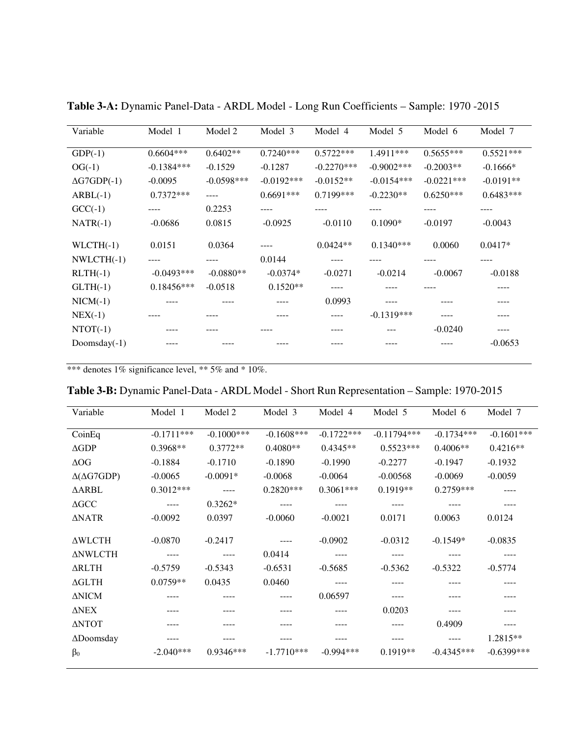| Variable           | Model 1      | Model 2      | Model 3      | Model 4      | Model 5       | Model 6      | Model 7     |
|--------------------|--------------|--------------|--------------|--------------|---------------|--------------|-------------|
| $GDP(-1)$          | $0.6604***$  | $0.6402**$   | $0.7240***$  | $0.5722***$  | 1.4911***     | $0.5655***$  | $0.5521***$ |
| $OG(-1)$           | $-0.1384***$ | $-0.1529$    | $-0.1287$    | $-0.2270***$ | $-0.9002$ *** | $-0.2003**$  | $-0.1666*$  |
| $\Delta$ G7GDP(-1) | $-0.0095$    | $-0.0598***$ | $-0.0192***$ | $-0.0152**$  | $-0.0154***$  | $-0.0221***$ | $-0.0191**$ |
| $ARBL(-1)$         | $0.7372***$  | ----         | $0.6691***$  | $0.7199***$  | $-0.2230**$   | $0.6250***$  | $0.6483***$ |
| $GCC(-1)$          | ----         | 0.2253       | ----         | ----         | ----          | ----         | ----        |
| $NATR(-1)$         | $-0.0686$    | 0.0815       | $-0.0925$    | $-0.0110$    | $0.1090*$     | $-0.0197$    | $-0.0043$   |
|                    |              |              |              |              |               |              |             |
| $WLCTH(-1)$        | 0.0151       | 0.0364       |              | $0.0424**$   | $0.1340***$   | 0.0060       | $0.0417*$   |
| $NWLCTH(-1)$       | ----         | ----         | 0.0144       |              |               |              | ----        |
| $RLTH(-1)$         | $-0.0493***$ | $-0.0880**$  | $-0.0374*$   | $-0.0271$    | $-0.0214$     | $-0.0067$    | $-0.0188$   |
| $GLTH(-1)$         | $0.18456***$ | $-0.0518$    | $0.1520**$   |              |               |              |             |
| $NICM(-1)$         |              |              |              | 0.0993       |               |              |             |
| $NEX(-1)$          |              |              |              | ----         | $-0.1319***$  | ----         |             |
| $NTOT(-1)$         |              |              |              |              | ---           | $-0.0240$    |             |
| Doomsday $(-1)$    |              |              |              |              |               |              | $-0.0653$   |
|                    |              |              |              |              |               |              |             |

**Table 3-A:** Dynamic Panel-Data - ARDL Model - Long Run Coefficients – Sample: 1970 -2015

\*\*\* denotes 1% significance level, \*\* 5% and \* 10%.

| <b>Table 3-B:</b> Dynamic Panel-Data - ARDL Model - Short Run Representation – Sample: 1970-2015<br>Variable | Model 1      | Model 2      | Model 3      | Model 4      | Model 5       | Model 6      | Model 7      |
|--------------------------------------------------------------------------------------------------------------|--------------|--------------|--------------|--------------|---------------|--------------|--------------|
| CoinEq                                                                                                       | $-0.1711***$ | $-0.1000***$ | $-0.1608***$ | $-0.1722***$ | $-0.11794***$ | $-0.1734***$ | $-0.1601***$ |
| $\triangle$ GDP                                                                                              | $0.3968**$   | $0.3772**$   | $0.4080**$   | $0.4345**$   | $0.5523***$   | $0.4006**$   | $0.4216**$   |
| $\Delta \text{OG}$                                                                                           | $-0.1884$    | $-0.1710$    | $-0.1890$    | $-0.1990$    | $-0.2277$     | $-0.1947$    | $-0.1932$    |
| $\Delta(\Delta G7GDP)$                                                                                       | $-0.0065$    | $-0.0091*$   | $-0.0068$    | $-0.0064$    | $-0.00568$    | $-0.0069$    | $-0.0059$    |
| ∆ARBL                                                                                                        | $0.3012***$  | $\cdots$     | $0.2820***$  | $0.3061***$  | $0.1919**$    | $0.2759***$  | ----         |
| $\Delta {\rm GCC}$                                                                                           |              | $0.3262*$    |              |              |               |              |              |
| $\triangle NATR$                                                                                             | $-0.0092$    | 0.0397       | $-0.0060$    | $-0.0021$    | 0.0171        | 0.0063       | 0.0124       |
| $\triangle WLCTH$                                                                                            | $-0.0870$    | $-0.2417$    |              | $-0.0902$    | $-0.0312$     | $-0.1549*$   | $-0.0835$    |
| <b>ANWLCTH</b>                                                                                               | ----         | $---$        | 0.0414       | ----         | ----          | ----         | ----         |
| <b>ARLTH</b>                                                                                                 | $-0.5759$    | $-0.5343$    | $-0.6531$    | $-0.5685$    | $-0.5362$     | $-0.5322$    | $-0.5774$    |
| $\Delta$ GLTH                                                                                                | $0.0759**$   | 0.0435       | 0.0460       | ----         |               |              |              |
| $\Delta$ NICM                                                                                                |              |              | ----         | 0.06597      | ----          |              | ----         |
| <b>ANEX</b>                                                                                                  |              |              |              | ----         | 0.0203        | ----         |              |
| <b>ΔNTOT</b>                                                                                                 |              | ----         |              | ----         | ----          | 0.4909       | ----         |
| $\triangle$ Doomsday                                                                                         | ----         |              |              | ----         | ----          | $---$        | 1.2815**     |
| $\beta_0$                                                                                                    | $-2.040***$  | $0.9346***$  | $-1.7710***$ | $-0.994***$  | $0.1919**$    | $-0.4345***$ | $-0.6399***$ |

**Table 3-B:** Dynamic Panel-Data - ARDL Model - Short Run Representation – Sample: 1970-2015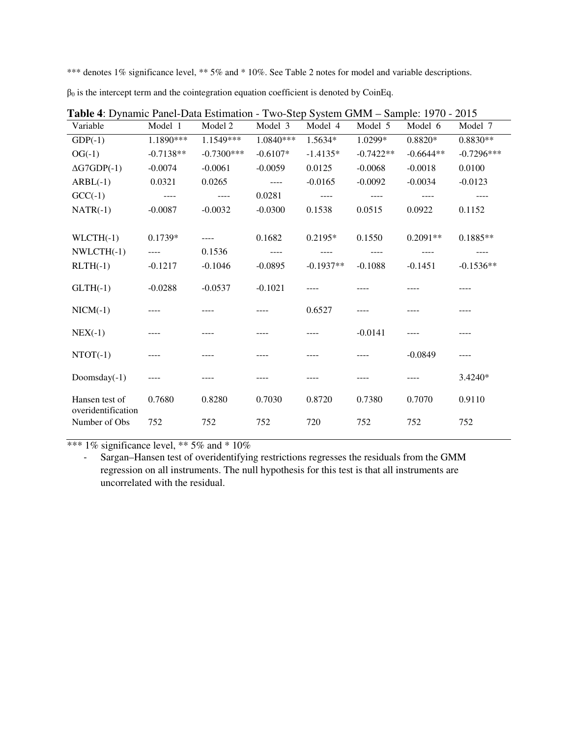\*\*\* denotes 1% significance level, \*\* 5% and \* 10%. See Table 2 notes for model and variable descriptions.

| Table 4: Dynamic Panel-Data Estimation - Two-Step System GMM - Sample: 1970 - 2015 |             |              |            |             |             |             |              |  |  |
|------------------------------------------------------------------------------------|-------------|--------------|------------|-------------|-------------|-------------|--------------|--|--|
| Variable                                                                           | Model 1     | Model 2      | Model 3    | Model 4     | Model 5     | Model 6     | Model 7      |  |  |
| $GDP(-1)$                                                                          | 1.1890***   | 1.1549***    | 1.0840***  | 1.5634*     | 1.0299*     | $0.8820*$   | $0.8830**$   |  |  |
| $OG(-1)$                                                                           | $-0.7138**$ | $-0.7300***$ | $-0.6107*$ | $-1.4135*$  | $-0.7422**$ | $-0.6644**$ | $-0.7296***$ |  |  |
| $\Delta$ G7GDP(-1)                                                                 | $-0.0074$   | $-0.0061$    | $-0.0059$  | 0.0125      | $-0.0068$   | $-0.0018$   | 0.0100       |  |  |
| $ARBL(-1)$                                                                         | 0.0321      | 0.0265       |            | $-0.0165$   | $-0.0092$   | $-0.0034$   | $-0.0123$    |  |  |
| $GCC(-1)$                                                                          | $- - - -$   | $- - - -$    | 0.0281     | $---$       | $- - - -$   |             |              |  |  |
| $NATR(-1)$                                                                         | $-0.0087$   | $-0.0032$    | $-0.0300$  | 0.1538      | 0.0515      | 0.0922      | 0.1152       |  |  |
|                                                                                    |             |              |            |             |             |             |              |  |  |
| $WLCTH(-1)$                                                                        | 0.1739*     | $- - - -$    | 0.1682     | 0.2195*     | 0.1550      | $0.2091**$  | $0.1885**$   |  |  |
| $NWLCTH(-1)$                                                                       | $---$       | 0.1536       |            | ----        |             |             | ----         |  |  |
| $RLTH(-1)$                                                                         | $-0.1217$   | $-0.1046$    | $-0.0895$  | $-0.1937**$ | $-0.1088$   | $-0.1451$   | $-0.1536**$  |  |  |
| $GLTH(-1)$                                                                         | $-0.0288$   | $-0.0537$    | $-0.1021$  |             |             |             |              |  |  |
| $NICM(-1)$                                                                         |             |              |            | 0.6527      |             |             |              |  |  |
| $NEX(-1)$                                                                          |             |              |            |             | $-0.0141$   |             |              |  |  |
| $NTOT(-1)$                                                                         |             |              |            |             |             | $-0.0849$   | ----         |  |  |
| Doomsday $(-1)$                                                                    | $- - - -$   |              |            |             |             |             | 3.4240*      |  |  |
| Hansen test of<br>overidentification                                               | 0.7680      | 0.8280       | 0.7030     | 0.8720      | 0.7380      | 0.7070      | 0.9110       |  |  |
| Number of Obs                                                                      | 752         | 752          | 752        | 720         | 752         | 752         | 752          |  |  |

 $β<sub>0</sub>$  is the intercept term and the cointegration equation coefficient is denoted by CoinEq.

\*\*\*  $1\%$  significance level, \*\*  $5\%$  and \*  $10\%$ 

- Sargan–Hansen test of overidentifying restrictions regresses the residuals from the GMM regression on all instruments. The null hypothesis for this test is that all instruments are uncorrelated with the residual.